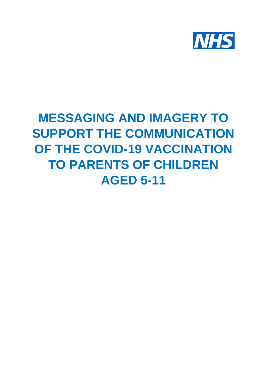

## **MESSAGING AND IMAGERY TO SUPPORT THE COMMUNICATION OF THE COVID-19 VACCINATION TO PARENTS OF CHILDREN AGED 5-11**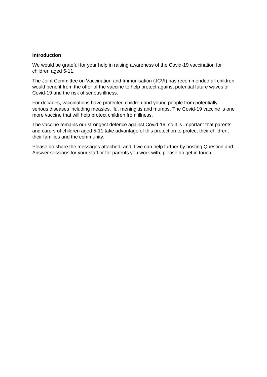## **Introduction**

We would be grateful for your help in raising awareness of the Covid-19 vaccination for children aged 5-11.

The Joint Committee on Vaccination and Immunisation (JCVI) has recommended all children would benefit from the offer of the vaccine to help protect against potential future waves of Covid-19 and the risk of serious illness.

For decades, vaccinations have protected children and young people from potentially serious diseases including measles, flu, meningitis and mumps. The Covid-19 vaccine is one more vaccine that will help protect children from illness.

The vaccine remains our strongest defence against Covid-19, so it is important that parents and carers of children aged 5-11 take advantage of this protection to protect their children, their families and the community.

Please do share the messages attached, and if we can help further by hosting Question and Answer sessions for your staff or for parents you work with, please do get in touch.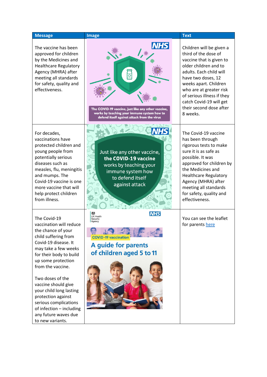| <b>Message</b>                                                                                                                                                                                                                                                                                                                                                                                           | <b>Image</b>                                                                                                                                                        | <b>Text</b>                                                                                                                                                                                                                                                                                                |
|----------------------------------------------------------------------------------------------------------------------------------------------------------------------------------------------------------------------------------------------------------------------------------------------------------------------------------------------------------------------------------------------------------|---------------------------------------------------------------------------------------------------------------------------------------------------------------------|------------------------------------------------------------------------------------------------------------------------------------------------------------------------------------------------------------------------------------------------------------------------------------------------------------|
| The vaccine has been<br>approved for children<br>by the Medicines and<br><b>Healthcare Regulatory</b><br>Agency (MHRA) after<br>meeting all standards<br>for safety, quality and<br>effectiveness.                                                                                                                                                                                                       | <b>NHS</b><br>क<br>The COVID-19 vaccine, just like any other vaccine,<br>works by teaching your immune system how to<br>defend itself against attack from the virus | Children will be given a<br>third of the dose of<br>vaccine that is given to<br>older children and to<br>adults. Each child will<br>have two doses, 12<br>weeks apart. Children<br>who are at greater risk<br>of serious illness if they<br>catch Covid-19 will get<br>their second dose after<br>8 weeks. |
| For decades,<br>vaccinations have<br>protected children and<br>young people from<br>potentially serious<br>diseases such as<br>measles, flu, meningitis<br>and mumps. The<br>Covid-19 vaccine is one<br>more vaccine that will<br>help protect children<br>from illness.                                                                                                                                 | Just like any other vaccine,<br>the COVID-19 vaccine<br>works by teaching your<br>immune system how<br>to defend itself<br>against attack                           | The Covid-19 vaccine<br>has been through<br>rigorous tests to make<br>sure it is as safe as<br>possible. It was<br>approved for children by<br>the Medicines and<br><b>Healthcare Regulatory</b><br>Agency (MHRA) after<br>meeting all standards<br>for safety, quality and<br>effectiveness.              |
| The Covid-19<br>vaccination will reduce<br>the chance of your<br>child suffering from<br>Covid-19 disease. It<br>may take a few weeks<br>for their body to build<br>up some protection<br>from the vaccine.<br>Two doses of the<br>vaccine should give<br>your child long lasting<br>protection against<br>serious complications<br>of infection - including<br>any future waves due<br>to new variants. | <b>NHS</b><br>86.<br>UK Health<br>Security<br>Agency<br><b>COVID-19 vaccination</b><br><b>A guide for parents</b><br>of children aged 5 to 11                       | You can see the leaflet<br>for parents here                                                                                                                                                                                                                                                                |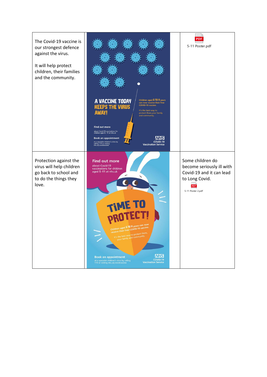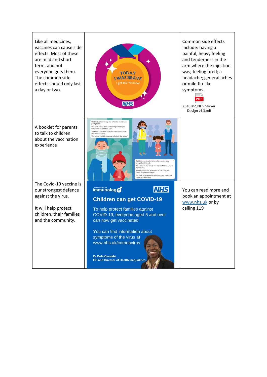